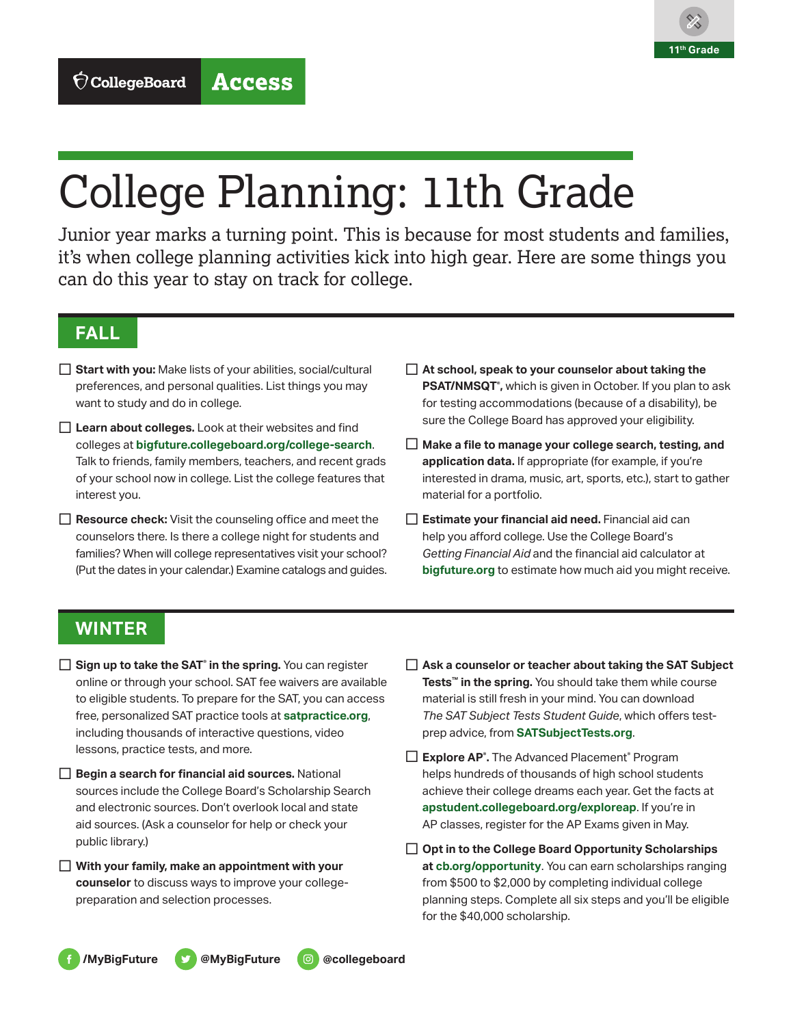

# College Planning: 11th Grade

Junior year marks a turning point. This is because for most students and families, it's when college planning activities kick into high gear. Here are some things you can do this year to stay on track for college.

# **FALL**

- □ Start with you: Make lists of your abilities, social/cultural preferences, and personal qualities. List things you may want to study and do in college.
- □ Learn about colleges. Look at their websites and find colleges at **[bigfuture.collegeboard.org/college-search](http://bigfuture.collegeboard.org/college-search)**. Talk to friends, family members, teachers, and recent grads of your school now in college. List the college features that interest you.
- $\Box$  **Resource check:** Visit the counseling office and meet the counselors there. Is there a college night for students and families? When will college representatives visit your school? (Put the dates in your calendar.) Examine catalogs and guides.
- □ At school, speak to your counselor about taking the **PSAT/NMSQT® ,** which is given in October. If you plan to ask for testing accommodations (because of a disability), be sure the College Board has approved your eligibility.
- □ Make a file to manage your college search, testing, and **application data.** If appropriate (for example, if you're interested in drama, music, art, sports, etc.), start to gather material for a portfolio.
- □ Estimate your financial aid need. Financial aid can help you afford college. Use the College Board's *Getting Financial Aid* and the financial aid calculator at **[bigfuture.org](http://bigfuture.org)** to estimate how much aid you might receive.

## **WINTER**

- □ **Sign up to take the SAT®** in the spring. You can register online or through your school. SAT fee waivers are available to eligible students. To prepare for the SAT, you can access free, personalized SAT practice tools at **[satpractice.org](http://satpractice.org)**, including thousands of interactive questions, video lessons, practice tests, and more.
- □ **Begin a search for financial aid sources.** National sources include the College Board's [Scholarship Search](https://bigfuture.collegeboard.org/scholarship-search) and electronic sources. Don't overlook local and state aid sources. (Ask a counselor for help or check your public library.)
- □ With your family, make an appointment with your **counselor** to discuss ways to improve your collegepreparation and selection processes.
- □ Ask a counselor or teacher about taking the SAT Subject **Tests™ in the spring.** You should take them while course material is still fresh in your mind. You can download *The SAT Subject Tests Student Guide*, which offers testprep advice, from **[SATSubjectTests.org](http://SATSubjectTests.org)**.
- □ Explore AP<sup>®</sup>. The Advanced Placement<sup>®</sup> Program helps hundreds of thousands of high school students achieve their college dreams each year. Get the facts at **[apstudent.collegeboard.org/exploreap](http://apstudent.collegeboard.org/exploreap)**. If you're in AP classes, register for the AP Exams given in May.
- □ Opt in to the College Board Opportunity Scholarships **at [cb.org/opportunity](http://cb.org/opportunity)**. You can earn scholarships ranging from \$500 to \$2,000 by completing individual college planning steps. Complete all six steps and you'll be eligible for the \$40,000 scholarship.